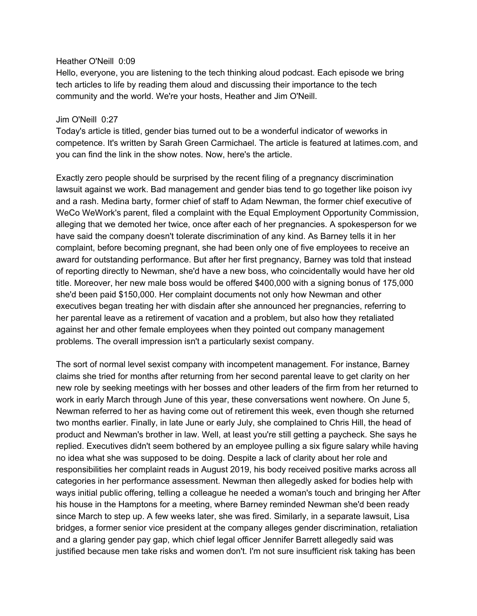#### Heather O'Neill 0:09

Hello, everyone, you are listening to the tech thinking aloud podcast. Each episode we bring tech articles to life by reading them aloud and discussing their importance to the tech community and the world. We're your hosts, Heather and Jim O'Neill.

#### Jim O'Neill 0:27

Today's article is titled, gender bias turned out to be a wonderful indicator of weworks in competence. It's written by Sarah Green Carmichael. The article is featured at latimes.com, and you can find the link in the show notes. Now, here's the article.

Exactly zero people should be surprised by the recent filing of a pregnancy discrimination lawsuit against we work. Bad management and gender bias tend to go together like poison ivy and a rash. Medina barty, former chief of staff to Adam Newman, the former chief executive of WeCo WeWork's parent, filed a complaint with the Equal Employment Opportunity Commission, alleging that we demoted her twice, once after each of her pregnancies. A spokesperson for we have said the company doesn't tolerate discrimination of any kind. As Barney tells it in her complaint, before becoming pregnant, she had been only one of five employees to receive an award for outstanding performance. But after her first pregnancy, Barney was told that instead of reporting directly to Newman, she'd have a new boss, who coincidentally would have her old title. Moreover, her new male boss would be offered \$400,000 with a signing bonus of 175,000 she'd been paid \$150,000. Her complaint documents not only how Newman and other executives began treating her with disdain after she announced her pregnancies, referring to her parental leave as a retirement of vacation and a problem, but also how they retaliated against her and other female employees when they pointed out company management problems. The overall impression isn't a particularly sexist company.

The sort of normal level sexist company with incompetent management. For instance, Barney claims she tried for months after returning from her second parental leave to get clarity on her new role by seeking meetings with her bosses and other leaders of the firm from her returned to work in early March through June of this year, these conversations went nowhere. On June 5, Newman referred to her as having come out of retirement this week, even though she returned two months earlier. Finally, in late June or early July, she complained to Chris Hill, the head of product and Newman's brother in law. Well, at least you're still getting a paycheck. She says he replied. Executives didn't seem bothered by an employee pulling a six figure salary while having no idea what she was supposed to be doing. Despite a lack of clarity about her role and responsibilities her complaint reads in August 2019, his body received positive marks across all categories in her performance assessment. Newman then allegedly asked for bodies help with ways initial public offering, telling a colleague he needed a woman's touch and bringing her After his house in the Hamptons for a meeting, where Barney reminded Newman she'd been ready since March to step up. A few weeks later, she was fired. Similarly, in a separate lawsuit, Lisa bridges, a former senior vice president at the company alleges gender discrimination, retaliation and a glaring gender pay gap, which chief legal officer Jennifer Barrett allegedly said was justified because men take risks and women don't. I'm not sure insufficient risk taking has been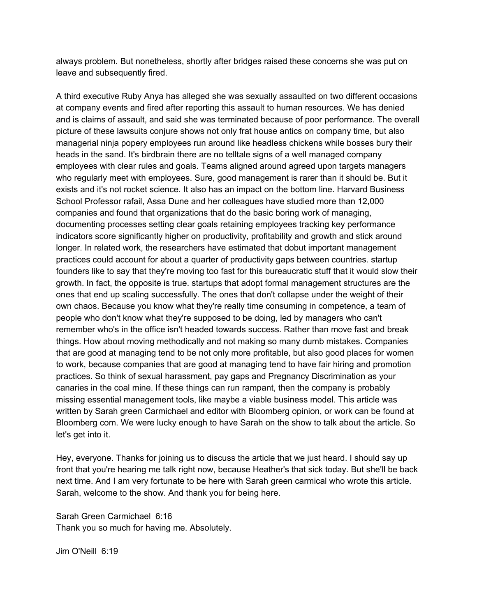always problem. But nonetheless, shortly after bridges raised these concerns she was put on leave and subsequently fired.

A third executive Ruby Anya has alleged she was sexually assaulted on two different occasions at company events and fired after reporting this assault to human resources. We has denied and is claims of assault, and said she was terminated because of poor performance. The overall picture of these lawsuits conjure shows not only frat house antics on company time, but also managerial ninja popery employees run around like headless chickens while bosses bury their heads in the sand. It's birdbrain there are no telltale signs of a well managed company employees with clear rules and goals. Teams aligned around agreed upon targets managers who regularly meet with employees. Sure, good management is rarer than it should be. But it exists and it's not rocket science. It also has an impact on the bottom line. Harvard Business School Professor rafail, Assa Dune and her colleagues have studied more than 12,000 companies and found that organizations that do the basic boring work of managing, documenting processes setting clear goals retaining employees tracking key performance indicators score significantly higher on productivity, profitability and growth and stick around longer. In related work, the researchers have estimated that dobut important management practices could account for about a quarter of productivity gaps between countries. startup founders like to say that they're moving too fast for this bureaucratic stuff that it would slow their growth. In fact, the opposite is true. startups that adopt formal management structures are the ones that end up scaling successfully. The ones that don't collapse under the weight of their own chaos. Because you know what they're really time consuming in competence, a team of people who don't know what they're supposed to be doing, led by managers who can't remember who's in the office isn't headed towards success. Rather than move fast and break things. How about moving methodically and not making so many dumb mistakes. Companies that are good at managing tend to be not only more profitable, but also good places for women to work, because companies that are good at managing tend to have fair hiring and promotion practices. So think of sexual harassment, pay gaps and Pregnancy Discrimination as your canaries in the coal mine. If these things can run rampant, then the company is probably missing essential management tools, like maybe a viable business model. This article was written by Sarah green Carmichael and editor with Bloomberg opinion, or work can be found at Bloomberg com. We were lucky enough to have Sarah on the show to talk about the article. So let's get into it.

Hey, everyone. Thanks for joining us to discuss the article that we just heard. I should say up front that you're hearing me talk right now, because Heather's that sick today. But she'll be back next time. And I am very fortunate to be here with Sarah green carmical who wrote this article. Sarah, welcome to the show. And thank you for being here.

Sarah Green Carmichael 6:16 Thank you so much for having me. Absolutely.

Jim O'Neill 6:19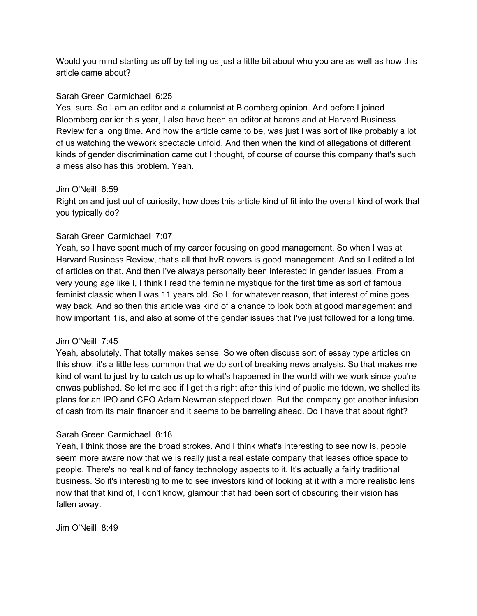Would you mind starting us off by telling us just a little bit about who you are as well as how this article came about?

# Sarah Green Carmichael 6:25

Yes, sure. So I am an editor and a columnist at Bloomberg opinion. And before I joined Bloomberg earlier this year, I also have been an editor at barons and at Harvard Business Review for a long time. And how the article came to be, was just I was sort of like probably a lot of us watching the wework spectacle unfold. And then when the kind of allegations of different kinds of gender discrimination came out I thought, of course of course this company that's such a mess also has this problem. Yeah.

## Jim O'Neill 6:59

Right on and just out of curiosity, how does this article kind of fit into the overall kind of work that you typically do?

# Sarah Green Carmichael 7:07

Yeah, so I have spent much of my career focusing on good management. So when I was at Harvard Business Review, that's all that hvR covers is good management. And so I edited a lot of articles on that. And then I've always personally been interested in gender issues. From a very young age like I, I think I read the feminine mystique for the first time as sort of famous feminist classic when I was 11 years old. So I, for whatever reason, that interest of mine goes way back. And so then this article was kind of a chance to look both at good management and how important it is, and also at some of the gender issues that I've just followed for a long time.

### Jim O'Neill 7:45

Yeah, absolutely. That totally makes sense. So we often discuss sort of essay type articles on this show, it's a little less common that we do sort of breaking news analysis. So that makes me kind of want to just try to catch us up to what's happened in the world with we work since you're onwas published. So let me see if I get this right after this kind of public meltdown, we shelled its plans for an IPO and CEO Adam Newman stepped down. But the company got another infusion of cash from its main financer and it seems to be barreling ahead. Do I have that about right?

### Sarah Green Carmichael 8:18

Yeah, I think those are the broad strokes. And I think what's interesting to see now is, people seem more aware now that we is really just a real estate company that leases office space to people. There's no real kind of fancy technology aspects to it. It's actually a fairly traditional business. So it's interesting to me to see investors kind of looking at it with a more realistic lens now that that kind of, I don't know, glamour that had been sort of obscuring their vision has fallen away.

Jim O'Neill 8:49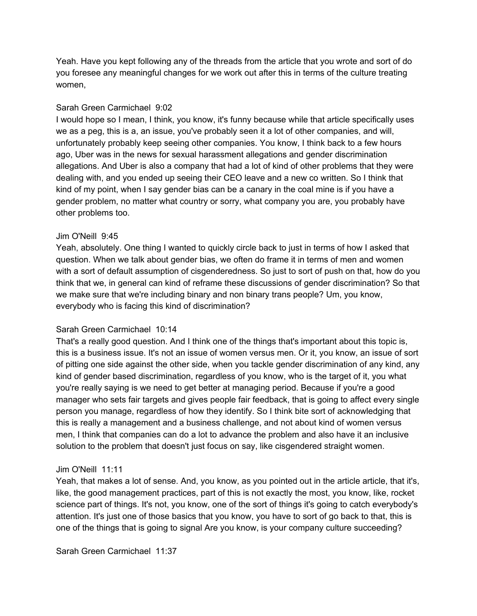Yeah. Have you kept following any of the threads from the article that you wrote and sort of do you foresee any meaningful changes for we work out after this in terms of the culture treating women,

### Sarah Green Carmichael 9:02

I would hope so I mean, I think, you know, it's funny because while that article specifically uses we as a peg, this is a, an issue, you've probably seen it a lot of other companies, and will, unfortunately probably keep seeing other companies. You know, I think back to a few hours ago, Uber was in the news for sexual harassment allegations and gender discrimination allegations. And Uber is also a company that had a lot of kind of other problems that they were dealing with, and you ended up seeing their CEO leave and a new co written. So I think that kind of my point, when I say gender bias can be a canary in the coal mine is if you have a gender problem, no matter what country or sorry, what company you are, you probably have other problems too.

#### Jim O'Neill 9:45

Yeah, absolutely. One thing I wanted to quickly circle back to just in terms of how I asked that question. When we talk about gender bias, we often do frame it in terms of men and women with a sort of default assumption of cisgenderedness. So just to sort of push on that, how do you think that we, in general can kind of reframe these discussions of gender discrimination? So that we make sure that we're including binary and non binary trans people? Um, you know, everybody who is facing this kind of discrimination?

### Sarah Green Carmichael 10:14

That's a really good question. And I think one of the things that's important about this topic is, this is a business issue. It's not an issue of women versus men. Or it, you know, an issue of sort of pitting one side against the other side, when you tackle gender discrimination of any kind, any kind of gender based discrimination, regardless of you know, who is the target of it, you what you're really saying is we need to get better at managing period. Because if you're a good manager who sets fair targets and gives people fair feedback, that is going to affect every single person you manage, regardless of how they identify. So I think bite sort of acknowledging that this is really a management and a business challenge, and not about kind of women versus men, I think that companies can do a lot to advance the problem and also have it an inclusive solution to the problem that doesn't just focus on say, like cisgendered straight women.

#### Jim O'Neill 11:11

Yeah, that makes a lot of sense. And, you know, as you pointed out in the article article, that it's, like, the good management practices, part of this is not exactly the most, you know, like, rocket science part of things. It's not, you know, one of the sort of things it's going to catch everybody's attention. It's just one of those basics that you know, you have to sort of go back to that, this is one of the things that is going to signal Are you know, is your company culture succeeding?

Sarah Green Carmichael 11:37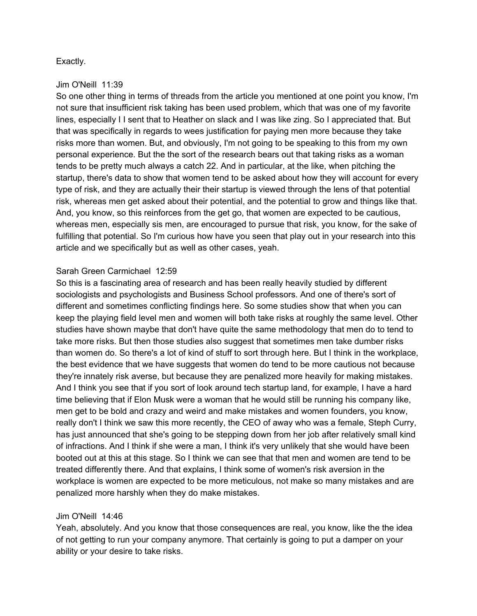## Exactly.

#### Jim O'Neill 11:39

So one other thing in terms of threads from the article you mentioned at one point you know, I'm not sure that insufficient risk taking has been used problem, which that was one of my favorite lines, especially I I sent that to Heather on slack and I was like zing. So I appreciated that. But that was specifically in regards to wees justification for paying men more because they take risks more than women. But, and obviously, I'm not going to be speaking to this from my own personal experience. But the the sort of the research bears out that taking risks as a woman tends to be pretty much always a catch 22. And in particular, at the like, when pitching the startup, there's data to show that women tend to be asked about how they will account for every type of risk, and they are actually their their startup is viewed through the lens of that potential risk, whereas men get asked about their potential, and the potential to grow and things like that. And, you know, so this reinforces from the get go, that women are expected to be cautious, whereas men, especially sis men, are encouraged to pursue that risk, you know, for the sake of fulfilling that potential. So I'm curious how have you seen that play out in your research into this article and we specifically but as well as other cases, yeah.

### Sarah Green Carmichael 12:59

So this is a fascinating area of research and has been really heavily studied by different sociologists and psychologists and Business School professors. And one of there's sort of different and sometimes conflicting findings here. So some studies show that when you can keep the playing field level men and women will both take risks at roughly the same level. Other studies have shown maybe that don't have quite the same methodology that men do to tend to take more risks. But then those studies also suggest that sometimes men take dumber risks than women do. So there's a lot of kind of stuff to sort through here. But I think in the workplace, the best evidence that we have suggests that women do tend to be more cautious not because they're innately risk averse, but because they are penalized more heavily for making mistakes. And I think you see that if you sort of look around tech startup land, for example, I have a hard time believing that if Elon Musk were a woman that he would still be running his company like, men get to be bold and crazy and weird and make mistakes and women founders, you know, really don't I think we saw this more recently, the CEO of away who was a female, Steph Curry, has just announced that she's going to be stepping down from her job after relatively small kind of infractions. And I think if she were a man, I think it's very unlikely that she would have been booted out at this at this stage. So I think we can see that that men and women are tend to be treated differently there. And that explains, I think some of women's risk aversion in the workplace is women are expected to be more meticulous, not make so many mistakes and are penalized more harshly when they do make mistakes.

### Jim O'Neill 14:46

Yeah, absolutely. And you know that those consequences are real, you know, like the the idea of not getting to run your company anymore. That certainly is going to put a damper on your ability or your desire to take risks.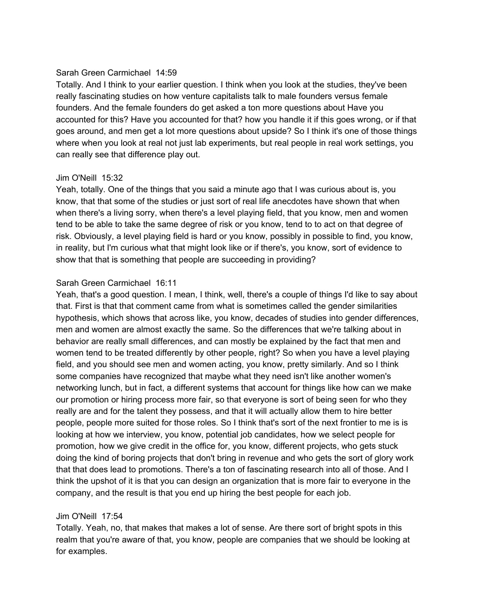## Sarah Green Carmichael 14:59

Totally. And I think to your earlier question. I think when you look at the studies, they've been really fascinating studies on how venture capitalists talk to male founders versus female founders. And the female founders do get asked a ton more questions about Have you accounted for this? Have you accounted for that? how you handle it if this goes wrong, or if that goes around, and men get a lot more questions about upside? So I think it's one of those things where when you look at real not just lab experiments, but real people in real work settings, you can really see that difference play out.

### Jim O'Neill 15:32

Yeah, totally. One of the things that you said a minute ago that I was curious about is, you know, that that some of the studies or just sort of real life anecdotes have shown that when when there's a living sorry, when there's a level playing field, that you know, men and women tend to be able to take the same degree of risk or you know, tend to to act on that degree of risk. Obviously, a level playing field is hard or you know, possibly in possible to find, you know, in reality, but I'm curious what that might look like or if there's, you know, sort of evidence to show that that is something that people are succeeding in providing?

## Sarah Green Carmichael 16:11

Yeah, that's a good question. I mean, I think, well, there's a couple of things I'd like to say about that. First is that that comment came from what is sometimes called the gender similarities hypothesis, which shows that across like, you know, decades of studies into gender differences, men and women are almost exactly the same. So the differences that we're talking about in behavior are really small differences, and can mostly be explained by the fact that men and women tend to be treated differently by other people, right? So when you have a level playing field, and you should see men and women acting, you know, pretty similarly. And so I think some companies have recognized that maybe what they need isn't like another women's networking lunch, but in fact, a different systems that account for things like how can we make our promotion or hiring process more fair, so that everyone is sort of being seen for who they really are and for the talent they possess, and that it will actually allow them to hire better people, people more suited for those roles. So I think that's sort of the next frontier to me is is looking at how we interview, you know, potential job candidates, how we select people for promotion, how we give credit in the office for, you know, different projects, who gets stuck doing the kind of boring projects that don't bring in revenue and who gets the sort of glory work that that does lead to promotions. There's a ton of fascinating research into all of those. And I think the upshot of it is that you can design an organization that is more fair to everyone in the company, and the result is that you end up hiring the best people for each job.

### Jim O'Neill 17:54

Totally. Yeah, no, that makes that makes a lot of sense. Are there sort of bright spots in this realm that you're aware of that, you know, people are companies that we should be looking at for examples.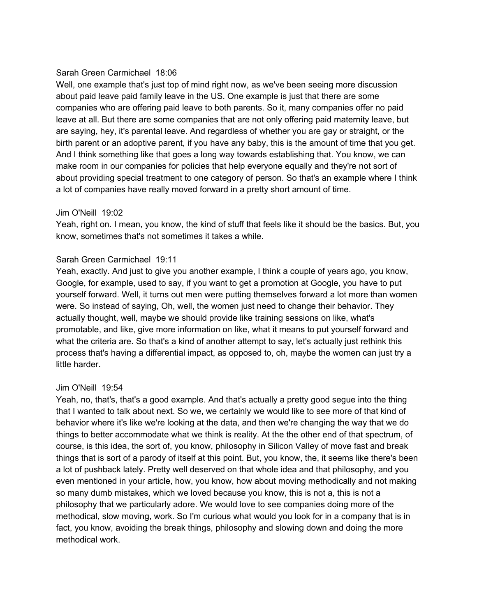## Sarah Green Carmichael 18:06

Well, one example that's just top of mind right now, as we've been seeing more discussion about paid leave paid family leave in the US. One example is just that there are some companies who are offering paid leave to both parents. So it, many companies offer no paid leave at all. But there are some companies that are not only offering paid maternity leave, but are saying, hey, it's parental leave. And regardless of whether you are gay or straight, or the birth parent or an adoptive parent, if you have any baby, this is the amount of time that you get. And I think something like that goes a long way towards establishing that. You know, we can make room in our companies for policies that help everyone equally and they're not sort of about providing special treatment to one category of person. So that's an example where I think a lot of companies have really moved forward in a pretty short amount of time.

### Jim O'Neill 19:02

Yeah, right on. I mean, you know, the kind of stuff that feels like it should be the basics. But, you know, sometimes that's not sometimes it takes a while.

### Sarah Green Carmichael 19:11

Yeah, exactly. And just to give you another example, I think a couple of years ago, you know, Google, for example, used to say, if you want to get a promotion at Google, you have to put yourself forward. Well, it turns out men were putting themselves forward a lot more than women were. So instead of saying, Oh, well, the women just need to change their behavior. They actually thought, well, maybe we should provide like training sessions on like, what's promotable, and like, give more information on like, what it means to put yourself forward and what the criteria are. So that's a kind of another attempt to say, let's actually just rethink this process that's having a differential impact, as opposed to, oh, maybe the women can just try a little harder.

### Jim O'Neill 19:54

Yeah, no, that's, that's a good example. And that's actually a pretty good segue into the thing that I wanted to talk about next. So we, we certainly we would like to see more of that kind of behavior where it's like we're looking at the data, and then we're changing the way that we do things to better accommodate what we think is reality. At the the other end of that spectrum, of course, is this idea, the sort of, you know, philosophy in Silicon Valley of move fast and break things that is sort of a parody of itself at this point. But, you know, the, it seems like there's been a lot of pushback lately. Pretty well deserved on that whole idea and that philosophy, and you even mentioned in your article, how, you know, how about moving methodically and not making so many dumb mistakes, which we loved because you know, this is not a, this is not a philosophy that we particularly adore. We would love to see companies doing more of the methodical, slow moving, work. So I'm curious what would you look for in a company that is in fact, you know, avoiding the break things, philosophy and slowing down and doing the more methodical work.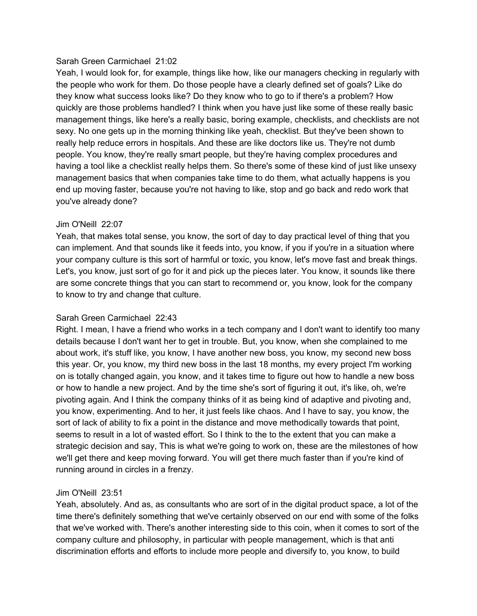#### Sarah Green Carmichael 21:02

Yeah, I would look for, for example, things like how, like our managers checking in regularly with the people who work for them. Do those people have a clearly defined set of goals? Like do they know what success looks like? Do they know who to go to if there's a problem? How quickly are those problems handled? I think when you have just like some of these really basic management things, like here's a really basic, boring example, checklists, and checklists are not sexy. No one gets up in the morning thinking like yeah, checklist. But they've been shown to really help reduce errors in hospitals. And these are like doctors like us. They're not dumb people. You know, they're really smart people, but they're having complex procedures and having a tool like a checklist really helps them. So there's some of these kind of just like unsexy management basics that when companies take time to do them, what actually happens is you end up moving faster, because you're not having to like, stop and go back and redo work that you've already done?

### Jim O'Neill 22:07

Yeah, that makes total sense, you know, the sort of day to day practical level of thing that you can implement. And that sounds like it feeds into, you know, if you if you're in a situation where your company culture is this sort of harmful or toxic, you know, let's move fast and break things. Let's, you know, just sort of go for it and pick up the pieces later. You know, it sounds like there are some concrete things that you can start to recommend or, you know, look for the company to know to try and change that culture.

### Sarah Green Carmichael 22:43

Right. I mean, I have a friend who works in a tech company and I don't want to identify too many details because I don't want her to get in trouble. But, you know, when she complained to me about work, it's stuff like, you know, I have another new boss, you know, my second new boss this year. Or, you know, my third new boss in the last 18 months, my every project I'm working on is totally changed again, you know, and it takes time to figure out how to handle a new boss or how to handle a new project. And by the time she's sort of figuring it out, it's like, oh, we're pivoting again. And I think the company thinks of it as being kind of adaptive and pivoting and, you know, experimenting. And to her, it just feels like chaos. And I have to say, you know, the sort of lack of ability to fix a point in the distance and move methodically towards that point, seems to result in a lot of wasted effort. So I think to the to the extent that you can make a strategic decision and say, This is what we're going to work on, these are the milestones of how we'll get there and keep moving forward. You will get there much faster than if you're kind of running around in circles in a frenzy.

### Jim O'Neill 23:51

Yeah, absolutely. And as, as consultants who are sort of in the digital product space, a lot of the time there's definitely something that we've certainly observed on our end with some of the folks that we've worked with. There's another interesting side to this coin, when it comes to sort of the company culture and philosophy, in particular with people management, which is that anti discrimination efforts and efforts to include more people and diversify to, you know, to build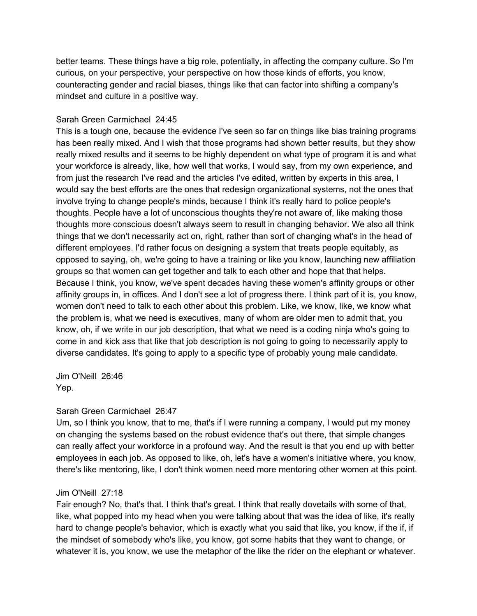better teams. These things have a big role, potentially, in affecting the company culture. So I'm curious, on your perspective, your perspective on how those kinds of efforts, you know, counteracting gender and racial biases, things like that can factor into shifting a company's mindset and culture in a positive way.

## Sarah Green Carmichael 24:45

This is a tough one, because the evidence I've seen so far on things like bias training programs has been really mixed. And I wish that those programs had shown better results, but they show really mixed results and it seems to be highly dependent on what type of program it is and what your workforce is already, like, how well that works, I would say, from my own experience, and from just the research I've read and the articles I've edited, written by experts in this area, I would say the best efforts are the ones that redesign organizational systems, not the ones that involve trying to change people's minds, because I think it's really hard to police people's thoughts. People have a lot of unconscious thoughts they're not aware of, like making those thoughts more conscious doesn't always seem to result in changing behavior. We also all think things that we don't necessarily act on, right, rather than sort of changing what's in the head of different employees. I'd rather focus on designing a system that treats people equitably, as opposed to saying, oh, we're going to have a training or like you know, launching new affiliation groups so that women can get together and talk to each other and hope that that helps. Because I think, you know, we've spent decades having these women's affinity groups or other affinity groups in, in offices. And I don't see a lot of progress there. I think part of it is, you know, women don't need to talk to each other about this problem. Like, we know, like, we know what the problem is, what we need is executives, many of whom are older men to admit that, you know, oh, if we write in our job description, that what we need is a coding ninja who's going to come in and kick ass that like that job description is not going to going to necessarily apply to diverse candidates. It's going to apply to a specific type of probably young male candidate.

Jim O'Neill 26:46 Yep.

### Sarah Green Carmichael 26:47

Um, so I think you know, that to me, that's if I were running a company, I would put my money on changing the systems based on the robust evidence that's out there, that simple changes can really affect your workforce in a profound way. And the result is that you end up with better employees in each job. As opposed to like, oh, let's have a women's initiative where, you know, there's like mentoring, like, I don't think women need more mentoring other women at this point.

### Jim O'Neill 27:18

Fair enough? No, that's that. I think that's great. I think that really dovetails with some of that, like, what popped into my head when you were talking about that was the idea of like, it's really hard to change people's behavior, which is exactly what you said that like, you know, if the if, if the mindset of somebody who's like, you know, got some habits that they want to change, or whatever it is, you know, we use the metaphor of the like the rider on the elephant or whatever.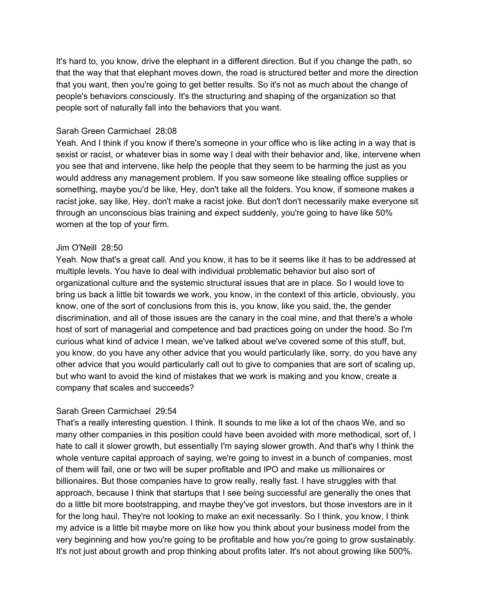It's hard to, you know, drive the elephant in a different direction. But if you change the path, so that the way that that elephant moves down, the road is structured better and more the direction that you want, then you're going to get better results. So it's not as much about the change of people's behaviors consciously. It's the structuring and shaping of the organization so that people sort of naturally fall into the behaviors that you want.

#### Sarah Green Carmichael 28:08

Yeah. And I think if you know if there's someone in your office who is like acting in a way that is sexist or racist, or whatever bias in some way I deal with their behavior and, like, intervene when you see that and intervene, like help the people that they seem to be harming the just as you would address any management problem. If you saw someone like stealing office supplies or something, maybe you'd be like, Hey, don't take all the folders. You know, if someone makes a racist joke, say like, Hey, don't make a racist joke. But don't don't necessarily make everyone sit through an unconscious bias training and expect suddenly, you're going to have like 50% women at the top of your firm.

#### Jim O'Neill 28:50

Yeah. Now that's a great call. And you know, it has to be it seems like it has to be addressed at multiple levels. You have to deal with individual problematic behavior but also sort of organizational culture and the systemic structural issues that are in place. So I would love to bring us back a little bit towards we work, you know, in the context of this article, obviously, you know, one of the sort of conclusions from this is, you know, like you said, the, the gender discrimination, and all of those issues are the canary in the coal mine, and that there's a whole host of sort of managerial and competence and bad practices going on under the hood. So I'm curious what kind of advice I mean, we've talked about we've covered some of this stuff, but, you know, do you have any other advice that you would particularly like, sorry, do you have any other advice that you would particularly call out to give to companies that are sort of scaling up, but who want to avoid the kind of mistakes that we work is making and you know, create a company that scales and succeeds?

### Sarah Green Carmichael 29:54

That's a really interesting question. I think. It sounds to me like a lot of the chaos We, and so many other companies in this position could have been avoided with more methodical, sort of, I hate to call it slower growth, but essentially I'm saying slower growth. And that's why I think the whole venture capital approach of saying, we're going to invest in a bunch of companies, most of them will fail, one or two will be super profitable and IPO and make us millionaires or billionaires. But those companies have to grow really, really fast. I have struggles with that approach, because I think that startups that I see being successful are generally the ones that do a little bit more bootstrapping, and maybe they've got investors, but those investors are in it for the long haul. They're not looking to make an exit necessarily. So I think, you know, I think my advice is a little bit maybe more on like how you think about your business model from the very beginning and how you're going to be profitable and how you're going to grow sustainably. It's not just about growth and prop thinking about profits later. It's not about growing like 500%.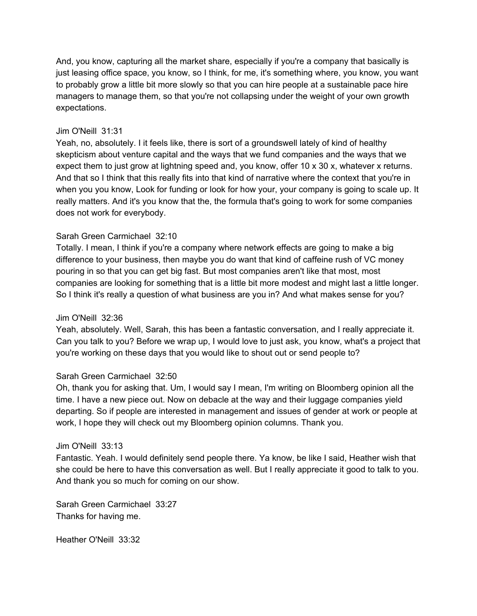And, you know, capturing all the market share, especially if you're a company that basically is just leasing office space, you know, so I think, for me, it's something where, you know, you want to probably grow a little bit more slowly so that you can hire people at a sustainable pace hire managers to manage them, so that you're not collapsing under the weight of your own growth expectations.

### Jim O'Neill 31:31

Yeah, no, absolutely. I it feels like, there is sort of a groundswell lately of kind of healthy skepticism about venture capital and the ways that we fund companies and the ways that we expect them to just grow at lightning speed and, you know, offer 10 x 30 x, whatever x returns. And that so I think that this really fits into that kind of narrative where the context that you're in when you you know, Look for funding or look for how your, your company is going to scale up. It really matters. And it's you know that the, the formula that's going to work for some companies does not work for everybody.

### Sarah Green Carmichael 32:10

Totally. I mean, I think if you're a company where network effects are going to make a big difference to your business, then maybe you do want that kind of caffeine rush of VC money pouring in so that you can get big fast. But most companies aren't like that most, most companies are looking for something that is a little bit more modest and might last a little longer. So I think it's really a question of what business are you in? And what makes sense for you?

### Jim O'Neill 32:36

Yeah, absolutely. Well, Sarah, this has been a fantastic conversation, and I really appreciate it. Can you talk to you? Before we wrap up, I would love to just ask, you know, what's a project that you're working on these days that you would like to shout out or send people to?

### Sarah Green Carmichael 32:50

Oh, thank you for asking that. Um, I would say I mean, I'm writing on Bloomberg opinion all the time. I have a new piece out. Now on debacle at the way and their luggage companies yield departing. So if people are interested in management and issues of gender at work or people at work, I hope they will check out my Bloomberg opinion columns. Thank you.

#### Jim O'Neill 33:13

Fantastic. Yeah. I would definitely send people there. Ya know, be like I said, Heather wish that she could be here to have this conversation as well. But I really appreciate it good to talk to you. And thank you so much for coming on our show.

Sarah Green Carmichael 33:27 Thanks for having me.

Heather O'Neill 33:32